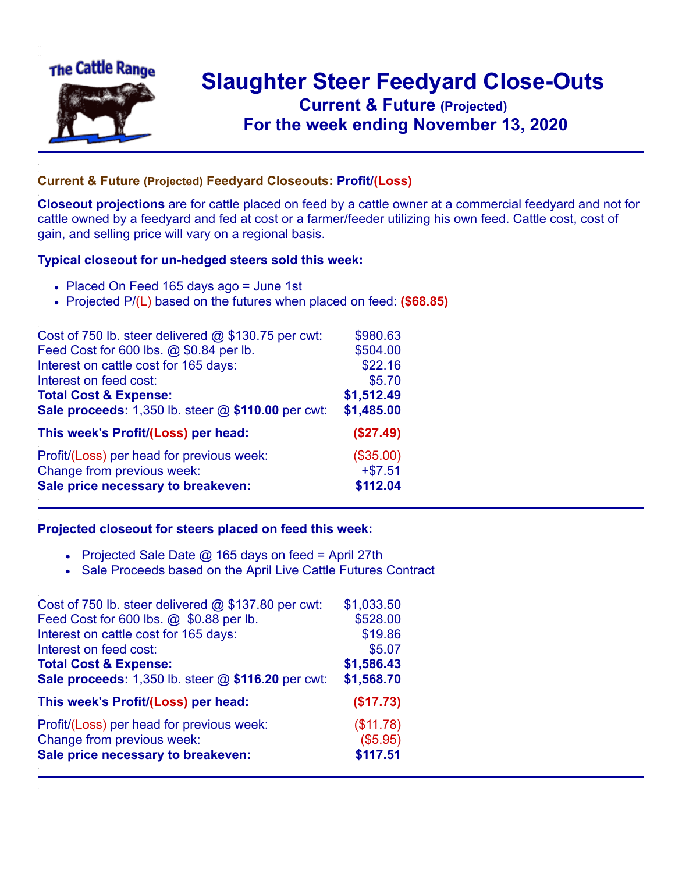

## **Slaughter Steer Feedyard Close-Outs Current & Future (Projected)** .**For the week ending November 13, 2020**

## **Current & Future (Projected) Feedyard Closeouts: Profit/(Loss)**

**Closeout projections** are for cattle placed on feed by a cattle owner at a commercial feedyard and not for cattle owned by a feedyard and fed at cost or a farmer/feeder utilizing his own feed. Cattle cost, cost of gain, and selling price will vary on a regional basis.

## **Typical closeout for un-hedged steers sold this week:**

- Placed On Feed 165 days ago = June 1st
- Projected P/(L) based on the futures when placed on feed: **(\$68.85)**

| Cost of 750 lb. steer delivered $@$ \$130.75 per cwt:  | \$980.63   |
|--------------------------------------------------------|------------|
| Feed Cost for 600 lbs. @ \$0.84 per lb.                | \$504.00   |
| Interest on cattle cost for 165 days:                  | \$22.16    |
| Interest on feed cost:                                 | \$5.70     |
| <b>Total Cost &amp; Expense:</b>                       | \$1,512.49 |
| Sale proceeds: $1,350$ lb. steer $@$ \$110.00 per cwt: | \$1,485.00 |
| This week's Profit/(Loss) per head:                    | (\$27.49)  |
| Profit/(Loss) per head for previous week:              | (\$35.00)  |
| Change from previous week:                             | $+ $7.51$  |
| Sale price necessary to breakeven:                     | \$112.04   |

## **Projected closeout for steers placed on feed this week:**

- Projected Sale Date  $@$  165 days on feed = April 27th
- Sale Proceeds based on the April Live Cattle Futures Contract

| Cost of 750 lb. steer delivered $@$ \$137.80 per cwt: | \$1,033.50 |
|-------------------------------------------------------|------------|
| Feed Cost for 600 lbs. @ \$0.88 per lb.               | \$528.00   |
| Interest on cattle cost for 165 days:                 | \$19.86    |
| Interest on feed cost:                                | \$5.07     |
| <b>Total Cost &amp; Expense:</b>                      | \$1,586.43 |
| Sale proceeds: 1,350 lb. steer @ \$116.20 per cwt:    | \$1,568.70 |
| This week's Profit/(Loss) per head:                   | (\$17.73)  |
| Profit/(Loss) per head for previous week:             | (\$11.78)  |
| Change from previous week:                            | (\$5.95)   |
| Sale price necessary to breakeven:                    | \$117.51   |